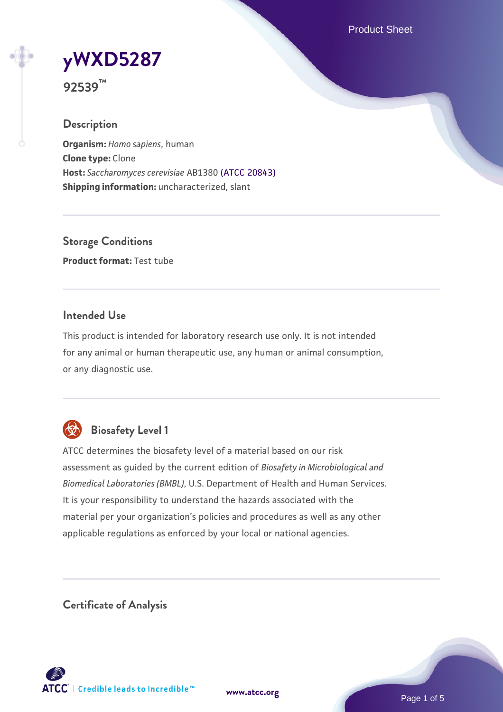Product Sheet



**92539™**

#### **Description**

**Organism:** *Homo sapiens*, human **Clone type:** Clone **Host:** *Saccharomyces cerevisiae* AB1380 [\(ATCC 20843\)](https://www.atcc.org/products/20843) **Shipping information:** uncharacterized, slant

**Storage Conditions Product format:** Test tube

### **Intended Use**

This product is intended for laboratory research use only. It is not intended for any animal or human therapeutic use, any human or animal consumption, or any diagnostic use.



# **Biosafety Level 1**

ATCC determines the biosafety level of a material based on our risk assessment as guided by the current edition of *Biosafety in Microbiological and Biomedical Laboratories (BMBL)*, U.S. Department of Health and Human Services. It is your responsibility to understand the hazards associated with the material per your organization's policies and procedures as well as any other applicable regulations as enforced by your local or national agencies.

**Certificate of Analysis**

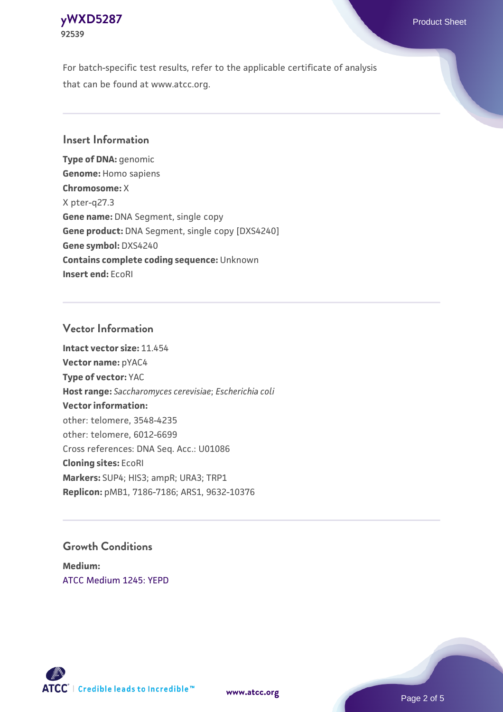

For batch-specific test results, refer to the applicable certificate of analysis that can be found at www.atcc.org.

### **Insert Information**

**Type of DNA:** genomic **Genome:** Homo sapiens **Chromosome:** X X pter-q27.3 **Gene name:** DNA Segment, single copy **Gene product:** DNA Segment, single copy [DXS4240] **Gene symbol:** DXS4240 **Contains complete coding sequence:** Unknown **Insert end:** EcoRI

#### **Vector Information**

**Intact vector size:** 11.454 **Vector name:** pYAC4 **Type of vector:** YAC **Host range:** *Saccharomyces cerevisiae*; *Escherichia coli* **Vector information:** other: telomere, 3548-4235 other: telomere, 6012-6699 Cross references: DNA Seq. Acc.: U01086 **Cloning sites:** EcoRI **Markers:** SUP4; HIS3; ampR; URA3; TRP1 **Replicon:** pMB1, 7186-7186; ARS1, 9632-10376

### **Growth Conditions**

**Medium:**  [ATCC Medium 1245: YEPD](https://www.atcc.org/-/media/product-assets/documents/microbial-media-formulations/1/2/4/5/atcc-medium-1245.pdf?rev=705ca55d1b6f490a808a965d5c072196)



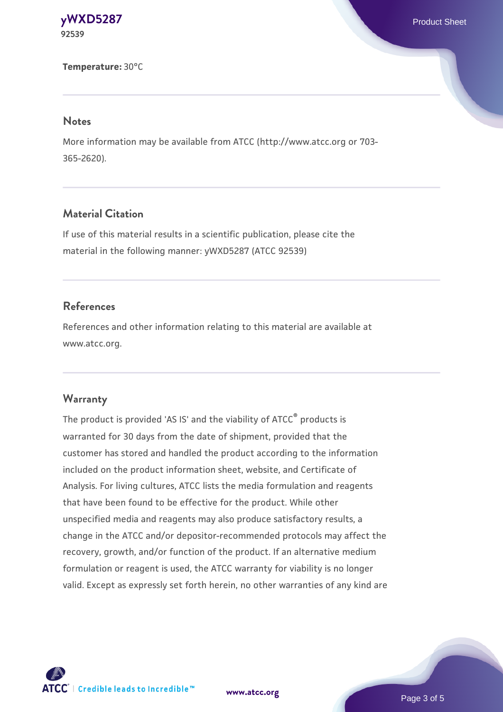**[yWXD5287](https://www.atcc.org/products/92539)** Product Sheet **92539**

**Temperature:** 30°C

#### **Notes**

More information may be available from ATCC (http://www.atcc.org or 703- 365-2620).

# **Material Citation**

If use of this material results in a scientific publication, please cite the material in the following manner: yWXD5287 (ATCC 92539)

#### **References**

References and other information relating to this material are available at www.atcc.org.

#### **Warranty**

The product is provided 'AS IS' and the viability of ATCC® products is warranted for 30 days from the date of shipment, provided that the customer has stored and handled the product according to the information included on the product information sheet, website, and Certificate of Analysis. For living cultures, ATCC lists the media formulation and reagents that have been found to be effective for the product. While other unspecified media and reagents may also produce satisfactory results, a change in the ATCC and/or depositor-recommended protocols may affect the recovery, growth, and/or function of the product. If an alternative medium formulation or reagent is used, the ATCC warranty for viability is no longer valid. Except as expressly set forth herein, no other warranties of any kind are

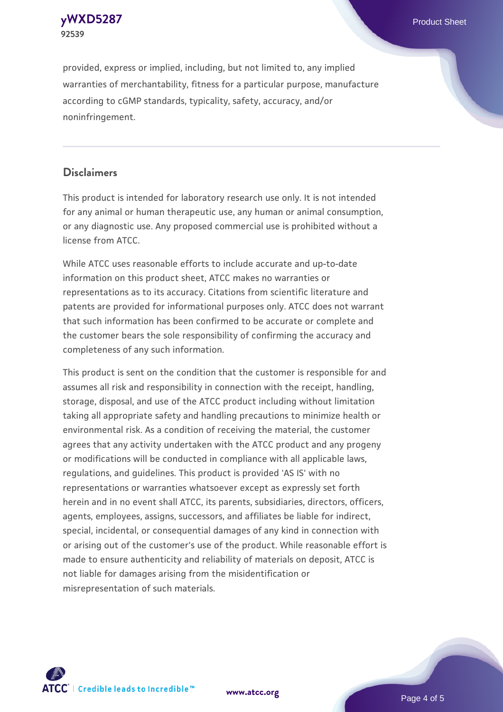

provided, express or implied, including, but not limited to, any implied warranties of merchantability, fitness for a particular purpose, manufacture according to cGMP standards, typicality, safety, accuracy, and/or noninfringement.

### **Disclaimers**

This product is intended for laboratory research use only. It is not intended for any animal or human therapeutic use, any human or animal consumption, or any diagnostic use. Any proposed commercial use is prohibited without a license from ATCC.

While ATCC uses reasonable efforts to include accurate and up-to-date information on this product sheet, ATCC makes no warranties or representations as to its accuracy. Citations from scientific literature and patents are provided for informational purposes only. ATCC does not warrant that such information has been confirmed to be accurate or complete and the customer bears the sole responsibility of confirming the accuracy and completeness of any such information.

This product is sent on the condition that the customer is responsible for and assumes all risk and responsibility in connection with the receipt, handling, storage, disposal, and use of the ATCC product including without limitation taking all appropriate safety and handling precautions to minimize health or environmental risk. As a condition of receiving the material, the customer agrees that any activity undertaken with the ATCC product and any progeny or modifications will be conducted in compliance with all applicable laws, regulations, and guidelines. This product is provided 'AS IS' with no representations or warranties whatsoever except as expressly set forth herein and in no event shall ATCC, its parents, subsidiaries, directors, officers, agents, employees, assigns, successors, and affiliates be liable for indirect, special, incidental, or consequential damages of any kind in connection with or arising out of the customer's use of the product. While reasonable effort is made to ensure authenticity and reliability of materials on deposit, ATCC is not liable for damages arising from the misidentification or misrepresentation of such materials.



**[www.atcc.org](http://www.atcc.org)**

Page 4 of 5